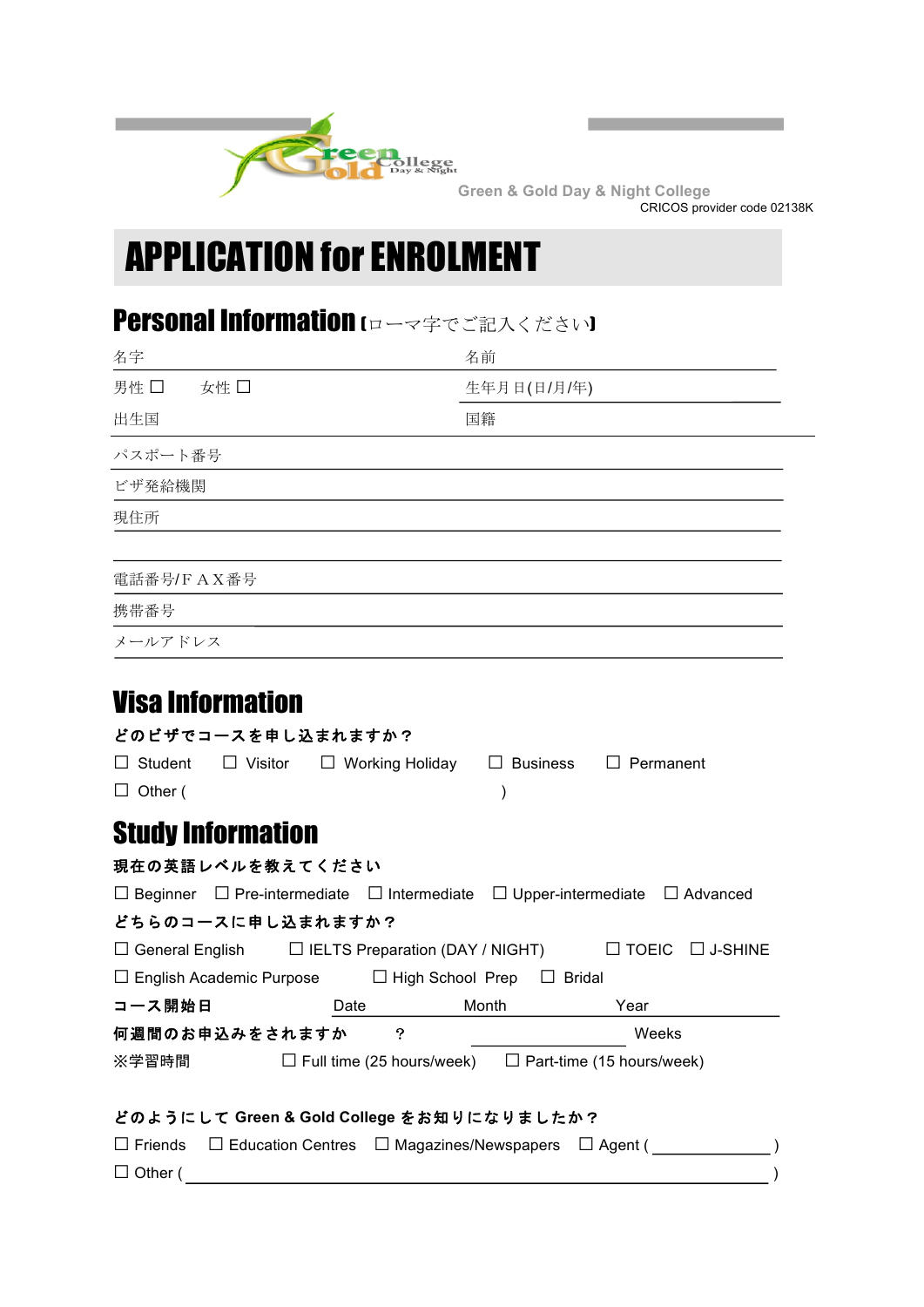

**Green & Gold Day & Night College** CRICOS provider code 02138K

the control of the control of the con-

# APPLICATION for ENROLMENT

# Personal Information (ローマ字でご記入ください)

|                                 | 名前                                                                                                                               |
|---------------------------------|----------------------------------------------------------------------------------------------------------------------------------|
| 男性 □<br>女性 □                    | 生年月日(日/月/年)                                                                                                                      |
| 出生国                             | 国籍                                                                                                                               |
| パスポート番号                         |                                                                                                                                  |
| ビザ発給機関                          |                                                                                                                                  |
| 現住所                             |                                                                                                                                  |
| 電話番号/FAX番号                      |                                                                                                                                  |
| 携带番号                            |                                                                                                                                  |
| メールアドレス                         |                                                                                                                                  |
|                                 |                                                                                                                                  |
| <b>Visa Information</b>         |                                                                                                                                  |
|                                 |                                                                                                                                  |
| どのビザでコースを申し込まれますか?              |                                                                                                                                  |
| $\Box$ Student                  | $\Box$ Visitor $\Box$ Working Holiday $\Box$ Business $\Box$ Permanent                                                           |
| $\Box$ Other (                  | $\lambda$                                                                                                                        |
|                                 |                                                                                                                                  |
| <b>Study Information</b>        |                                                                                                                                  |
| 現在の英語レベルを教えてください                |                                                                                                                                  |
|                                 | $\Box$ Beginner $\Box$ Pre-intermediate $\Box$ Intermediate $\Box$ Upper-intermediate $\Box$ Advanced                            |
| どちらのコースに申し込まれますか?               |                                                                                                                                  |
| $\Box$ English Academic Purpose | $\Box$ General English $\Box$ IELTS Preparation (DAY / NIGHT) $\Box$ TOEIC $\Box$ J-SHINE<br>□ High School Prep<br>$\Box$ Bridal |
| コース開始日                          | Month<br>Year<br>Date                                                                                                            |
| 何週間のお申込みをされますか                  | ၇<br>Weeks                                                                                                                       |

 $\Box$  Other ( )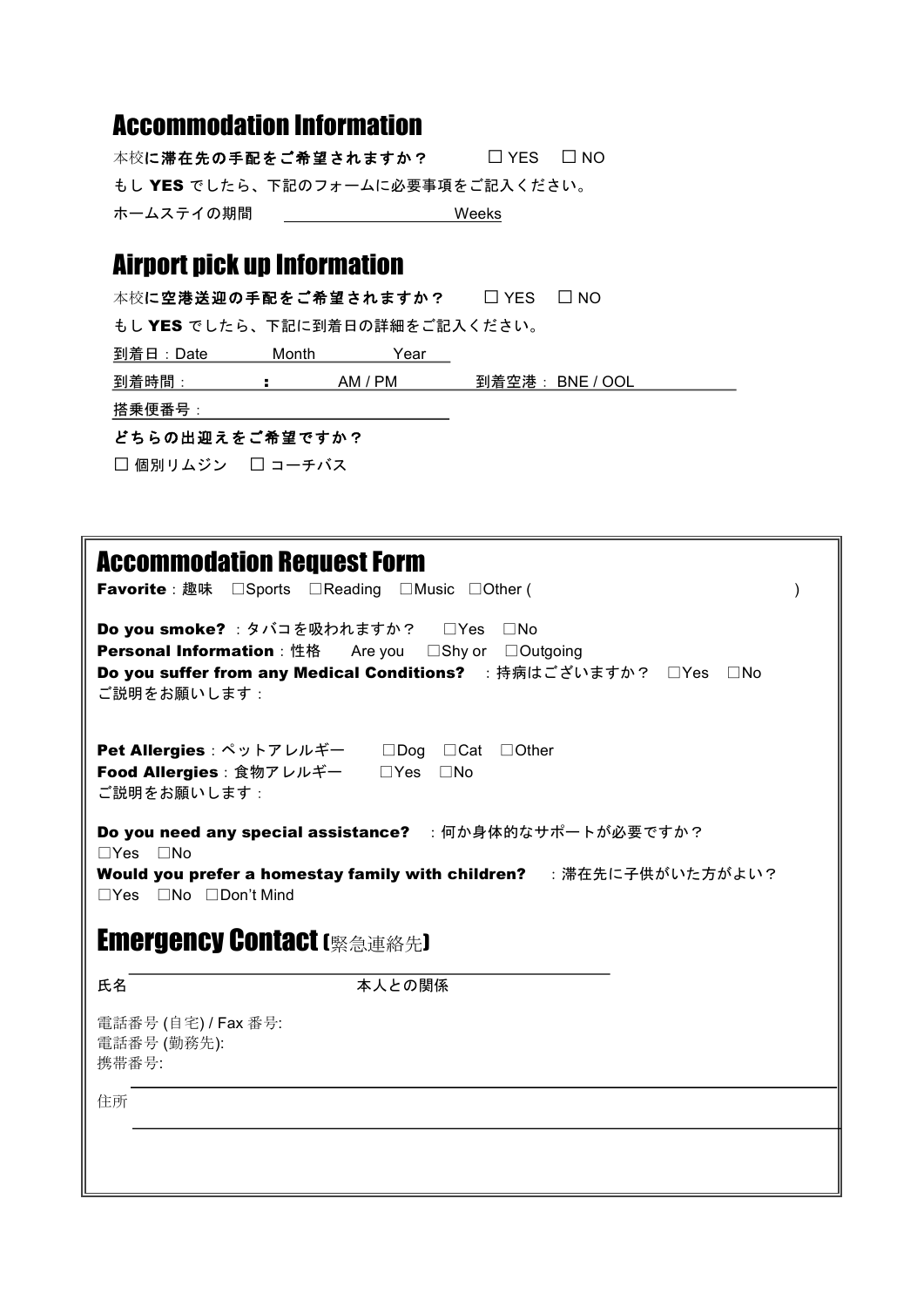## Accommodation Information

本校に滞在先の手配をご希望されますか? □ YES □ NO もし YES でしたら、下記のフォームに必要事項をご記入ください。 ホームステイの期間 いちじょう Weeks

# Airport pick up Information

本校に空港送迎の手配をご希望されますか? □ YES □ NO

もし YES でしたら、下記に到着日の詳細をご記入ください。

**到着日: Date Month Year** 

到着時間: : AM / PM 到着空港: BNE / OOL

搭乗便番号:

### どちらの出迎えをご希望ですか?

□ 個別リムジン □ コーチバス

| <b>Accommodation Request Form</b><br><b>Favorite</b> : 趣味 □ Sports □ Reading □ Music □ Other (                                                                                                                                      |                                                                  |  |  |  |  |  |
|-------------------------------------------------------------------------------------------------------------------------------------------------------------------------------------------------------------------------------------|------------------------------------------------------------------|--|--|--|--|--|
| Do you smoke? : タバコを吸われますか? □Yes □No<br><b>Personal Information</b> : 性格 Are you □Shy or □Outgoing<br>ご説明をお願いします:                                                                                                                   | Do you suffer from any Medical Conditions? : 持病はございますか? □Yes □No |  |  |  |  |  |
| <b>Pet Allergies</b> : ペットアレルギー □Dog □Cat □Other<br><b>Food Allergies</b> : 食物アレルギー □ Yes<br>ご説明をお願いします:                                                                                                                            | $\Box$ No                                                        |  |  |  |  |  |
| Do you need any special assistance? : 何か身体的なサポートが必要ですか?<br>$\Box$ Yes $\Box$ No<br>Would you prefer a homestay family with children? : 滞在先に子供がいた方がよい?<br>$\Box$ Yes $\Box$ No $\Box$ Don't Mind<br><b>Emergency Contact (緊急連絡先)</b> |                                                                  |  |  |  |  |  |
| 氏名                                                                                                                                                                                                                                  | 本人との関係                                                           |  |  |  |  |  |
| 電話番号 (自宅) / Fax 番号:<br>電話番号 (勤務先):<br>携带番号:                                                                                                                                                                                         |                                                                  |  |  |  |  |  |
| 住所                                                                                                                                                                                                                                  |                                                                  |  |  |  |  |  |
|                                                                                                                                                                                                                                     |                                                                  |  |  |  |  |  |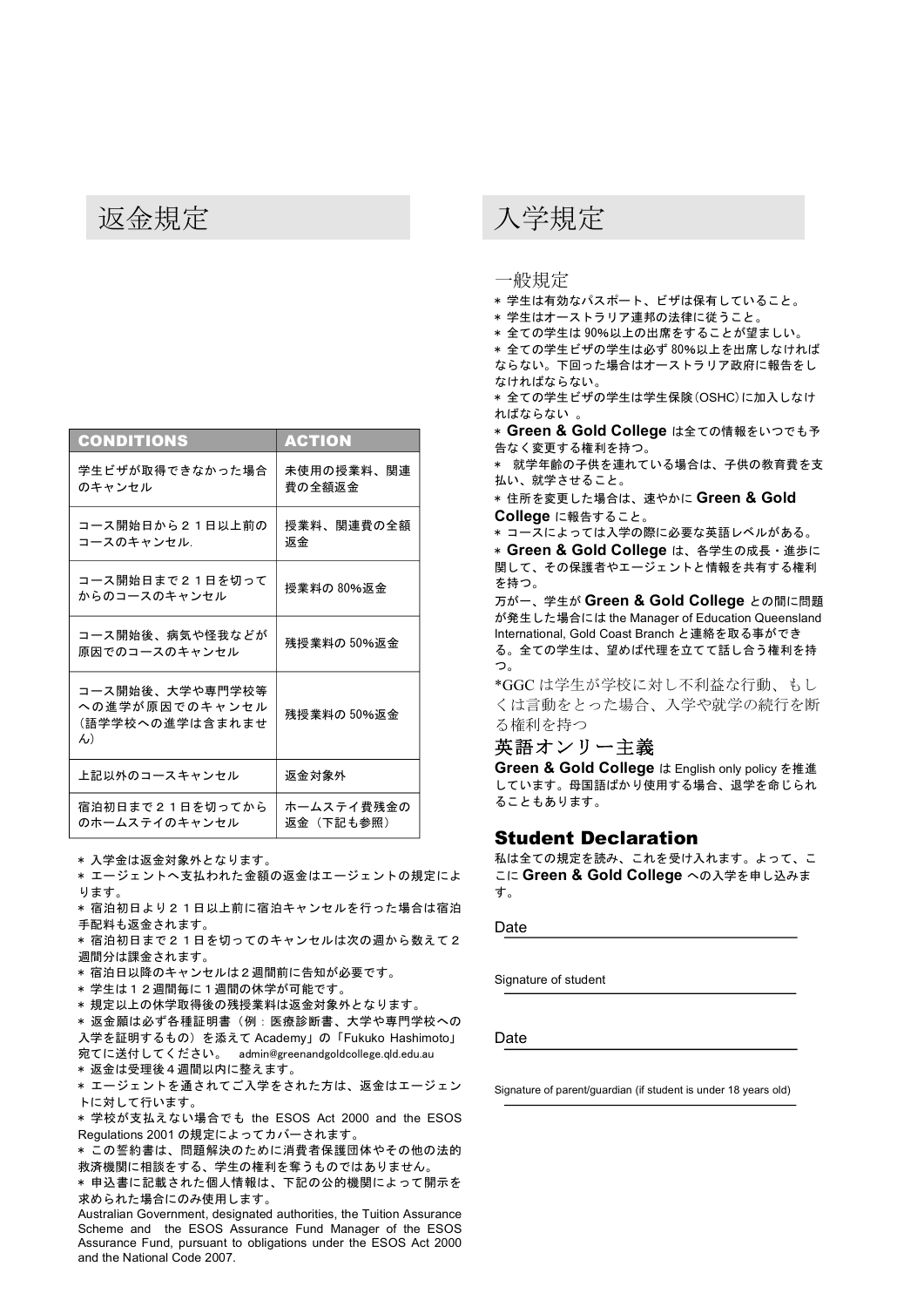| CONDITIONS                                                            | <b>ACTION</b>           |
|-----------------------------------------------------------------------|-------------------------|
| 学生ビザが取得できなかった場合<br>のキャンセル                                             | 未使用の授業料、関連<br>費の全額返金    |
| コース開始日から21日以上前の<br>コースのキャンセル.                                         | 授業料、関連費の全額<br>返金        |
| コース開始日まで21日を切って<br>からのコースのキャンセル                                       | 授業料の 80%返金              |
| コース開始後、病気や怪我などが<br>原因でのコースのキャンセル                                      | 残授業料の 50%返金             |
| コース開始後、大学や専門学校等<br>への進学が原因でのキャンセル<br>(語学学校への進学は含まれませ<br>$\mathcal{H}$ | 残授業料の 50%返金             |
| 上記以外のコースキャンセル                                                         | 返金対象外                   |
| 宿泊初日まで21日を切ってから<br>のホームステイのキャンセル                                      | ホームステイ費残金の<br>返金(下記も参照) |

\* 入学金は返金対象外となります。

\* エージェントへ支払われた金額の返金はエージェントの規定によ ります。

\* 宿泊初日より21日以上前に宿泊キャンセルを行った場合は宿泊 手配料も返金されます。

\* 宿泊初日まで21日を切ってのキャンセルは次の週から数えて2 週間分は課金されます。

\* 宿泊日以降のキャンセルは2週間前に告知が必要です。

\* 学生は12週間毎に1週間の休学が可能です。

\* 規定以上の休学取得後の残授業料は返金対象外となります。

\* 返金願は必ず各種証明書(例:医療診断書、大学や専門学校への 入学を証明するもの)を添えて Academy」の「Fukuko Hashimoto」 宛てに送付してください。 admin@greenandgoldcollege.qld.edu.au

\* 返金は受理後4週間以内に整えます。

\* エージェントを通されてご入学をされた方は、返金はエージェン トに対して行います。

\* 学校が支払えない場合でも the ESOS Act 2000 and the ESOS Regulations 2001 の規定によってカバーされます。

\* この誓約書は、問題解決のために消費者保護団体やその他の法的 救済機関に相談をする、学生の権利を奪うものではありません。

\* 申込書に記載された個人情報は、下記の公的機関によって開示を 求められた場合にのみ使用します。

Australian Government, designated authorities, the Tuition Assurance Scheme and the ESOS Assurance Fund Manager of the ESOS Assurance Fund, pursuant to obligations under the ESOS Act 2000 and the National Code 2007.

### 返金規定 みんしょう しょうしょう 入学規定

一般規定

- \* 学生は有効なパスポート、ビザは保有していること。
- \* 学生はオーストラリア連邦の法律に従うこと。
- \* 全ての学生は 90%以上の出席をすることが望ましい。

\* 全ての学生ビザの学生は必ず 80%以上を出席しなければ ならない。下回った場合はオーストラリア政府に報告をし なければならない。

\* 全ての学生ビザの学生は学生保険(OSHC)に加入しなけ ればならない 。

\* Green & Gold College は全ての情報をいつでも予 告なく変更する権利を持つ。

\* 就学年齢の子供を連れている場合は、子供の教育費を支 払い、就学させること。

\* 住所を変更した場合は、速やかに **Green & Gold College** に報告すること。

\* コースによっては入学の際に必要な英語レベルがある。

\* **Green & Gold College** は、各学生の成長・進歩に 関して、その保護者やエージェントと情報を共有する権利 を持つ。

万が一、学生が **Green & Gold College** との間に問題 が発生した場合には the Manager of Education Queensland International, Gold Coast Branch と連絡を取る事ができ る。全ての学生は、望めば代理を立てて話し合う権利を持 つ。

\*GGC は学生が学校に対し不利益な行動、もし くは言動をとった場合、入学や就学の続行を断 る権利を持つ

### 英語オンリー主義

**Green & Gold College** は English only policy を推進 しています。母国語ばかり使用する場合、退学を命じられ ることもあります。

### Student Declaration

私は全ての規定を読み、これを受け入れます。よって、こ こに **Green & Gold College** への入学を申し込みま す。

Date

Signature of student

Date

Signature of parent/guardian (if student is under 18 years old)